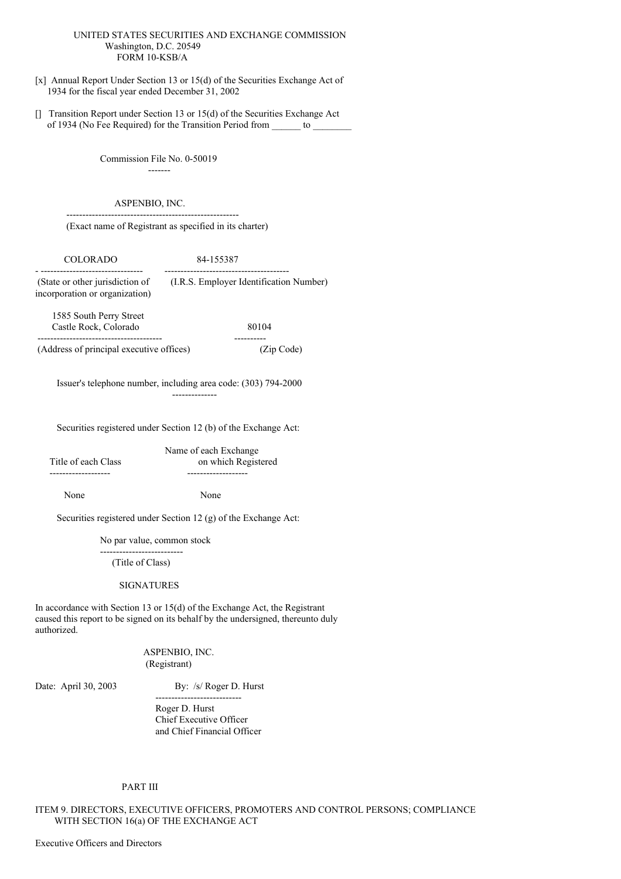## UNITED STATES SECURITIES AND EXCHANGE COMMISSION Washington, D.C. 20549 FORM 10-KSB/A

- [x] Annual Report Under Section 13 or 15(d) of the Securities Exchange Act of 1934 for the fiscal year ended December 31, 2002
- [] Transition Report under Section 13 or 15(d) of the Securities Exchange Act of 1934 (No Fee Required) for the Transition Period from to

Commission File No. 0-50019 -------

# ASPENBIO, INC.

------------------------------------------------------ (Exact name of Registrant as specified in its charter)

COLORADO 84-155387 - -------------------------------- --------------------------------------- (State or other jurisdiction of (I.R.S. Employer Identification Number) incorporation or organization)

1585 South Perry Street Castle Rock, Colorado 80104

--------------------------------------- ----------

(Address of principal executive offices) (Zip Code)

Issuer's telephone number, including area code: (303) 794-2000

--------------

Securities registered under Section 12 (b) of the Exchange Act:

------------------- -------------------

Name of each Exchange Title of each Class on which Registered

None None

Securities registered under Section 12 (g) of the Exchange Act:

No par value, common stock

-------------------------- (Title of Class)

# SIGNATURES

In accordance with Section 13 or 15(d) of the Exchange Act, the Registrant caused this report to be signed on its behalf by the undersigned, thereunto duly authorized.

> ASPENBIO, INC. (Registrant)

Date: April 30, 2003 By: /s/ Roger D. Hurst

--------------------------- Roger D. Hurst Chief Executive Officer and Chief Financial Officer

# PART III

ITEM 9. DIRECTORS, EXECUTIVE OFFICERS, PROMOTERS AND CONTROL PERSONS; COMPLIANCE WITH SECTION 16(a) OF THE EXCHANGE ACT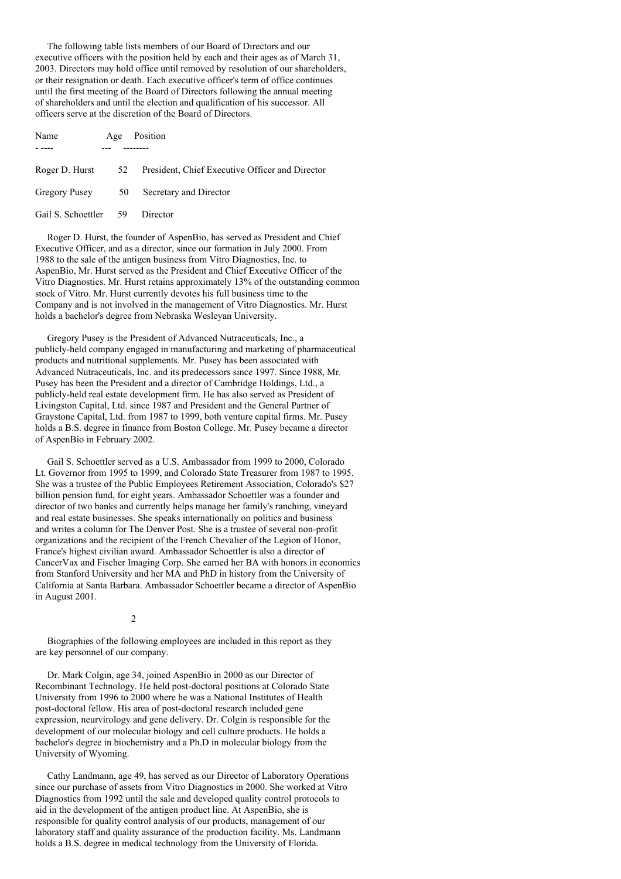The following table lists members of our Board of Directors and our executive officers with the position held by each and their ages as of March 31, 2003. Directors may hold office until removed by resolution of our shareholders, or their resignation or death. Each executive officer's term of office continues until the first meeting of the Board of Directors following the annual meeting of shareholders and until the election and qualification of his successor. All officers serve at the discretion of the Board of Directors.

| Name                  | Age | Position                                                          |
|-----------------------|-----|-------------------------------------------------------------------|
|                       |     |                                                                   |
|                       |     | Roger D. Hurst 52 President, Chief Executive Officer and Director |
|                       |     | Gregory Pusey 50 Secretary and Director                           |
| Gail S. Schoettler 59 |     | Director                                                          |

Roger D. Hurst, the founder of AspenBio, has served as President and Chief Executive Officer, and as a director, since our formation in July 2000. From 1988 to the sale of the antigen business from Vitro Diagnostics, Inc. to AspenBio, Mr. Hurst served as the President and Chief Executive Officer of the Vitro Diagnostics. Mr. Hurst retains approximately 13% of the outstanding common stock of Vitro. Mr. Hurst currently devotes his full business time to the Company and is not involved in the management of Vitro Diagnostics. Mr. Hurst holds a bachelor's degree from Nebraska Wesleyan University.

Gregory Pusey is the President of Advanced Nutraceuticals, Inc., a publicly-held company engaged in manufacturing and marketing of pharmaceutical products and nutritional supplements. Mr. Pusey has been associated with Advanced Nutraceuticals, Inc. and its predecessors since 1997. Since 1988, Mr. Pusey has been the President and a director of Cambridge Holdings, Ltd., a publicly-held real estate development firm. He has also served as President of Livingston Capital, Ltd. since 1987 and President and the General Partner of Graystone Capital, Ltd. from 1987 to 1999, both venture capital firms. Mr. Pusey holds a B.S. degree in finance from Boston College. Mr. Pusey became a director of AspenBio in February 2002.

Gail S. Schoettler served as a U.S. Ambassador from 1999 to 2000, Colorado Lt. Governor from 1995 to 1999, and Colorado State Treasurer from 1987 to 1995. She was a trustee of the Public Employees Retirement Association, Colorado's \$27 billion pension fund, for eight years. Ambassador Schoettler was a founder and director of two banks and currently helps manage her family's ranching, vineyard and real estate businesses. She speaks internationally on politics and business and writes a column for The Denver Post. She is a trustee of several non-profit organizations and the recipient of the French Chevalier of the Legion of Honor, France's highest civilian award. Ambassador Schoettler is also a director of CancerVax and Fischer Imaging Corp. She earned her BA with honors in economics from Stanford University and her MA and PhD in history from the University of California at Santa Barbara. Ambassador Schoettler became a director of AspenBio in August 2001.

2

Biographies of the following employees are included in this report as they are key personnel of our company.

Dr. Mark Colgin, age 34, joined AspenBio in 2000 as our Director of Recombinant Technology. He held post-doctoral positions at Colorado State University from 1996 to 2000 where he was a National Institutes of Health post-doctoral fellow. His area of post-doctoral research included gene expression, neurvirology and gene delivery. Dr. Colgin is responsible for the development of our molecular biology and cell culture products. He holds a bachelor's degree in biochemistry and a Ph.D in molecular biology from the University of Wyoming.

Cathy Landmann, age 49, has served as our Director of Laboratory Operations since our purchase of assets from Vitro Diagnostics in 2000. She worked at Vitro Diagnostics from 1992 until the sale and developed quality control protocols to aid in the development of the antigen product line. At AspenBio, she is responsible for quality control analysis of our products, management of our laboratory staff and quality assurance of the production facility. Ms. Landmann holds a B.S. degree in medical technology from the University of Florida.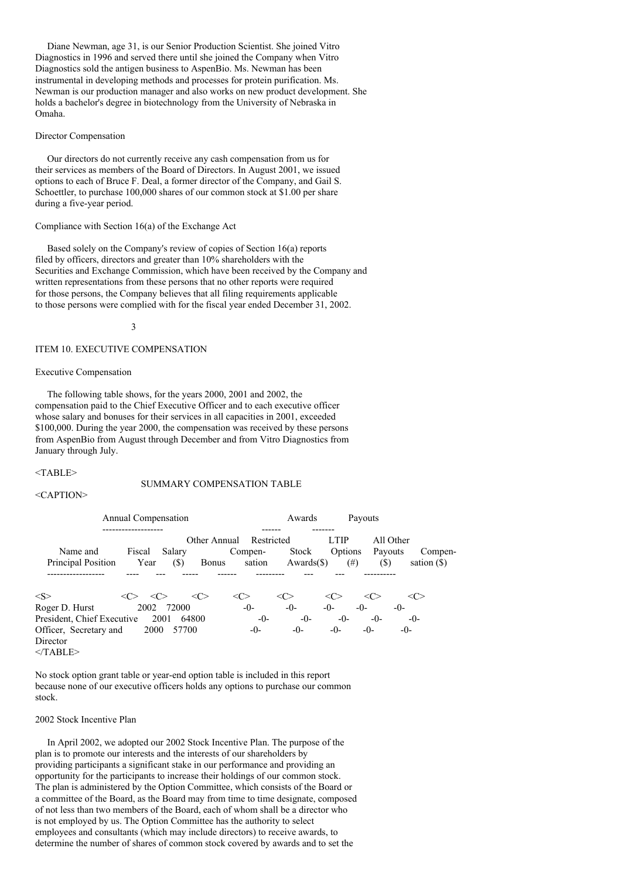Diane Newman, age 31, is our Senior Production Scientist. She joined Vitro Diagnostics in 1996 and served there until she joined the Company when Vitro Diagnostics sold the antigen business to AspenBio. Ms. Newman has been instrumental in developing methods and processes for protein purification. Ms. Newman is our production manager and also works on new product development. She holds a bachelor's degree in biotechnology from the University of Nebraska in Omaha.

## Director Compensation

Our directors do not currently receive any cash compensation from us for their services as members of the Board of Directors. In August 2001, we issued options to each of Bruce F. Deal, a former director of the Company, and Gail S. Schoettler, to purchase 100,000 shares of our common stock at \$1.00 per share during a five-year period.

## Compliance with Section 16(a) of the Exchange Act

Based solely on the Company's review of copies of Section 16(a) reports filed by officers, directors and greater than 10% shareholders with the Securities and Exchange Commission, which have been received by the Company and written representations from these persons that no other reports were required for those persons, the Company believes that all filing requirements applicable to those persons were complied with for the fiscal year ended December 31, 2002.

3

# ITEM 10. EXECUTIVE COMPENSATION

# Executive Compensation

The following table shows, for the years 2000, 2001 and 2002, the compensation paid to the Chief Executive Officer and to each executive officer whose salary and bonuses for their services in all capacities in 2001, exceeded \$100,000. During the year 2000, the compensation was received by these persons from AspenBio from August through December and from Vitro Diagnostics from January through July.

### <TABLE>

# SUMMARY COMPENSATION TABLE

<CAPTION>

| Annual Compensation        |                                            |               |                     |            | Awards        |                     | Payouts             |                     |         |
|----------------------------|--------------------------------------------|---------------|---------------------|------------|---------------|---------------------|---------------------|---------------------|---------|
|                            |                                            |               |                     |            |               |                     |                     |                     |         |
|                            |                                            |               | Other Annual        | Restricted |               | <b>LTIP</b>         |                     | All Other           |         |
| Name and                   | Fiscal                                     | Salary        |                     | Compen-    | Stock         | Options             |                     | Payouts             | Compen- |
| <b>Principal Position</b>  | Year                                       | (\$)          | Bonus               | sation     | $Awards(\$))$ |                     | $^{(+)}$<br>(S)     | sation $(S)$        |         |
|                            |                                            |               |                     |            |               |                     |                     |                     |         |
|                            |                                            |               |                     |            |               |                     |                     |                     |         |
| $<\leq$                    | $\langle C \rangle$<br>$\langle C \rangle$ |               | $\langle C \rangle$ | <<>        | <<>           | $\langle C \rangle$ | $\langle C \rangle$ | $\langle C \rangle$ |         |
| Roger D. Hurst             |                                            | 2002 72000    |                     | $-0-$      | $-0-$         | $-0-$               | $-0-$               | -0-                 |         |
| President, Chief Executive |                                            | 2001<br>64800 |                     | $-0-$      | $-0-$         | $-0-$               | $-0-$               | $-0-$               |         |
| Officer, Secretary and     | 2000                                       | 57700         |                     | $-0-$      | -0-           | $-0-$               | $-0-$               | $-()$               |         |
| Director                   |                                            |               |                     |            |               |                     |                     |                     |         |
| $<$ TABLE>                 |                                            |               |                     |            |               |                     |                     |                     |         |

No stock option grant table or year-end option table is included in this report because none of our executive officers holds any options to purchase our common stock.

### 2002 Stock Incentive Plan

In April 2002, we adopted our 2002 Stock Incentive Plan. The purpose of the plan is to promote our interests and the interests of our shareholders by providing participants a significant stake in our performance and providing an opportunity for the participants to increase their holdings of our common stock. The plan is administered by the Option Committee, which consists of the Board or a committee of the Board, as the Board may from time to time designate, composed of not less than two members of the Board, each of whom shall be a director who is not employed by us. The Option Committee has the authority to select employees and consultants (which may include directors) to receive awards, to determine the number of shares of common stock covered by awards and to set the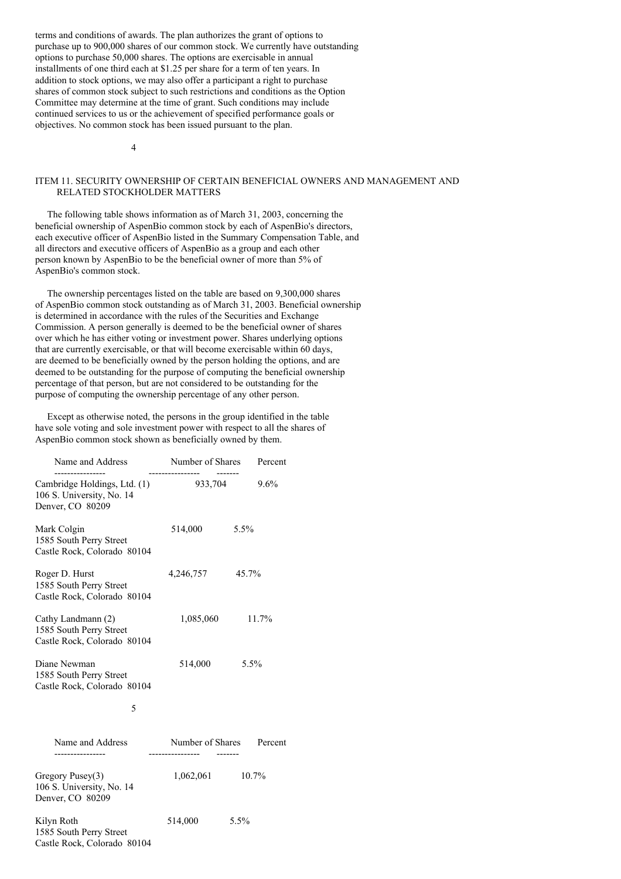terms and conditions of awards. The plan authorizes the grant of options to purchase up to 900,000 shares of our common stock. We currently have outstanding options to purchase 50,000 shares. The options are exercisable in annual installments of one third each at \$1.25 per share for a term of ten years. In addition to stock options, we may also offer a participant a right to purchase shares of common stock subject to such restrictions and conditions as the Option Committee may determine at the time of grant. Such conditions may include continued services to us or the achievement of specified performance goals or objectives. No common stock has been issued pursuant to the plan.

4

# ITEM 11. SECURITY OWNERSHIP OF CERTAIN BENEFICIAL OWNERS AND MANAGEMENT AND RELATED STOCKHOLDER MATTERS

The following table shows information as of March 31, 2003, concerning the beneficial ownership of AspenBio common stock by each of AspenBio's directors, each executive officer of AspenBio listed in the Summary Compensation Table, and all directors and executive officers of AspenBio as a group and each other person known by AspenBio to be the beneficial owner of more than 5% of AspenBio's common stock.

The ownership percentages listed on the table are based on 9,300,000 shares of AspenBio common stock outstanding as of March 31, 2003. Beneficial ownership is determined in accordance with the rules of the Securities and Exchange Commission. A person generally is deemed to be the beneficial owner of shares over which he has either voting or investment power. Shares underlying options that are currently exercisable, or that will become exercisable within 60 days, are deemed to be beneficially owned by the person holding the options, and are deemed to be outstanding for the purpose of computing the beneficial ownership percentage of that person, but are not considered to be outstanding for the purpose of computing the ownership percentage of any other person.

Except as otherwise noted, the persons in the group identified in the table have sole voting and sole investment power with respect to all the shares of AspenBio common stock shown as beneficially owned by them.

| Name and Address                                                              | Number of Shares | Percent                  |  |
|-------------------------------------------------------------------------------|------------------|--------------------------|--|
| Cambridge Holdings, Ltd. (1)<br>106 S. University, No. 14<br>Denver, CO 80209 | 933,704          | 9.6%                     |  |
| Mark Colgin<br>1585 South Perry Street<br>Castle Rock, Colorado 80104         | 514,000          | 5.5%                     |  |
| Roger D. Hurst<br>1585 South Perry Street<br>Castle Rock, Colorado 80104      | 4,246,757        | 45.7%                    |  |
| Cathy Landmann (2)<br>1585 South Perry Street<br>Castle Rock, Colorado 80104  | 1,085,060        | 11.7%                    |  |
| Diane Newman<br>1585 South Perry Street<br>Castle Rock, Colorado 80104        | 514,000          | $5.5\%$                  |  |
| 5                                                                             |                  |                          |  |
| Name and Address<br>--------------                                            |                  | Number of Shares Percent |  |
| Gregory Pusey(3)<br>106 S. University, No. 14<br>Denver, CO 80209             | 1,062,061 10.7%  |                          |  |
| Kilyn Roth<br>1585 South Perry Street<br>Castle Rock, Colorado 80104          | 514,000          | 5.5%                     |  |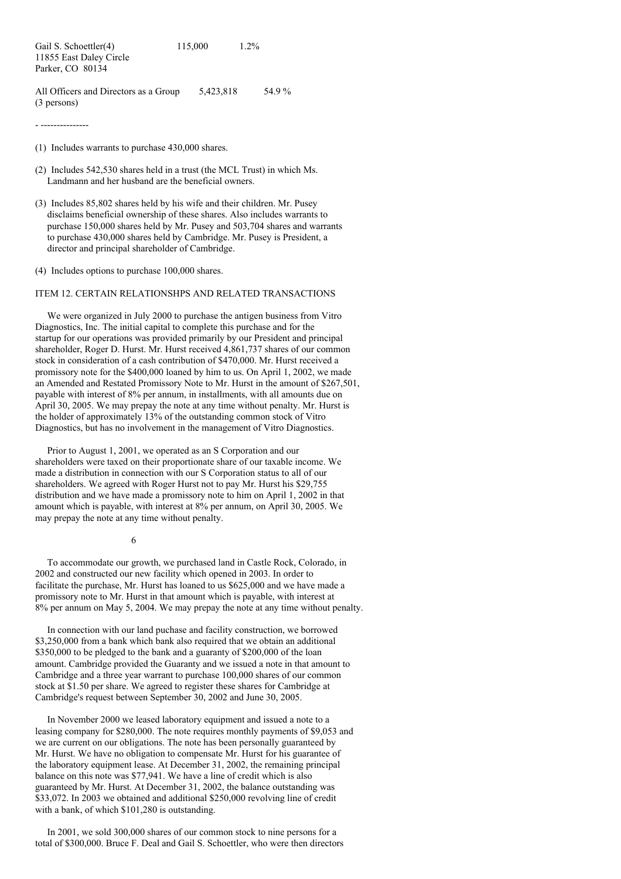All Officers and Directors as a Group  $5,423,818$   $54.9\%$ (3 persons)

(1) Includes warrants to purchase 430,000 shares.

- (2) Includes 542,530 shares held in a trust (the MCL Trust) in which Ms. Landmann and her husband are the beneficial owners.
- (3) Includes 85,802 shares held by his wife and their children. Mr. Pusey disclaims beneficial ownership of these shares. Also includes warrants to purchase 150,000 shares held by Mr. Pusey and 503,704 shares and warrants to purchase 430,000 shares held by Cambridge. Mr. Pusey is President, a director and principal shareholder of Cambridge.

(4) Includes options to purchase 100,000 shares.

# ITEM 12. CERTAIN RELATIONSHPS AND RELATED TRANSACTIONS

We were organized in July 2000 to purchase the antigen business from Vitro Diagnostics, Inc. The initial capital to complete this purchase and for the startup for our operations was provided primarily by our President and principal shareholder, Roger D. Hurst. Mr. Hurst received 4,861,737 shares of our common stock in consideration of a cash contribution of \$470,000. Mr. Hurst received a promissory note for the \$400,000 loaned by him to us. On April 1, 2002, we made an Amended and Restated Promissory Note to Mr. Hurst in the amount of \$267,501, payable with interest of 8% per annum, in installments, with all amounts due on April 30, 2005. We may prepay the note at any time without penalty. Mr. Hurst is the holder of approximately 13% of the outstanding common stock of Vitro Diagnostics, but has no involvement in the management of Vitro Diagnostics.

Prior to August 1, 2001, we operated as an S Corporation and our shareholders were taxed on their proportionate share of our taxable income. We made a distribution in connection with our S Corporation status to all of our shareholders. We agreed with Roger Hurst not to pay Mr. Hurst his \$29,755 distribution and we have made a promissory note to him on April 1, 2002 in that amount which is payable, with interest at 8% per annum, on April 30, 2005. We may prepay the note at any time without penalty.

#### 6

To accommodate our growth, we purchased land in Castle Rock, Colorado, in 2002 and constructed our new facility which opened in 2003. In order to facilitate the purchase, Mr. Hurst has loaned to us \$625,000 and we have made a promissory note to Mr. Hurst in that amount which is payable, with interest at 8% per annum on May 5, 2004. We may prepay the note at any time without penalty.

In connection with our land puchase and facility construction, we borrowed \$3,250,000 from a bank which bank also required that we obtain an additional \$350,000 to be pledged to the bank and a guaranty of \$200,000 of the loan amount. Cambridge provided the Guaranty and we issued a note in that amount to Cambridge and a three year warrant to purchase 100,000 shares of our common stock at \$1.50 per share. We agreed to register these shares for Cambridge at Cambridge's request between September 30, 2002 and June 30, 2005.

In November 2000 we leased laboratory equipment and issued a note to a leasing company for \$280,000. The note requires monthly payments of \$9,053 and we are current on our obligations. The note has been personally guaranteed by Mr. Hurst. We have no obligation to compensate Mr. Hurst for his guarantee of the laboratory equipment lease. At December 31, 2002, the remaining principal balance on this note was \$77,941. We have a line of credit which is also guaranteed by Mr. Hurst. At December 31, 2002, the balance outstanding was \$33,072. In 2003 we obtained and additional \$250,000 revolving line of credit with a bank, of which \$101,280 is outstanding.

In 2001, we sold 300,000 shares of our common stock to nine persons for a total of \$300,000. Bruce F. Deal and Gail S. Schoettler, who were then directors

<sup>-</sup> ---------------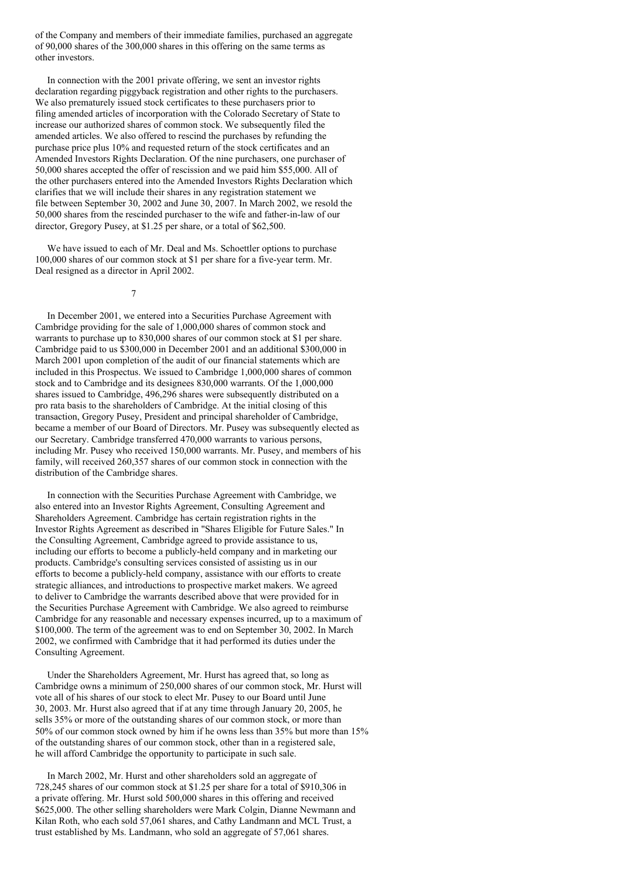of the Company and members of their immediate families, purchased an aggregate of 90,000 shares of the 300,000 shares in this offering on the same terms as other investors.

In connection with the 2001 private offering, we sent an investor rights declaration regarding piggyback registration and other rights to the purchasers. We also prematurely issued stock certificates to these purchasers prior to filing amended articles of incorporation with the Colorado Secretary of State to increase our authorized shares of common stock. We subsequently filed the amended articles. We also offered to rescind the purchases by refunding the purchase price plus 10% and requested return of the stock certificates and an Amended Investors Rights Declaration. Of the nine purchasers, one purchaser of 50,000 shares accepted the offer of rescission and we paid him \$55,000. All of the other purchasers entered into the Amended Investors Rights Declaration which clarifies that we will include their shares in any registration statement we file between September 30, 2002 and June 30, 2007. In March 2002, we resold the 50,000 shares from the rescinded purchaser to the wife and father-in-law of our director, Gregory Pusey, at \$1.25 per share, or a total of \$62,500.

We have issued to each of Mr. Deal and Ms. Schoettler options to purchase 100,000 shares of our common stock at \$1 per share for a five-year term. Mr. Deal resigned as a director in April 2002.

7

In December 2001, we entered into a Securities Purchase Agreement with Cambridge providing for the sale of 1,000,000 shares of common stock and warrants to purchase up to 830,000 shares of our common stock at \$1 per share. Cambridge paid to us \$300,000 in December 2001 and an additional \$300,000 in March 2001 upon completion of the audit of our financial statements which are included in this Prospectus. We issued to Cambridge 1,000,000 shares of common stock and to Cambridge and its designees 830,000 warrants. Of the 1,000,000 shares issued to Cambridge, 496,296 shares were subsequently distributed on a pro rata basis to the shareholders of Cambridge. At the initial closing of this transaction, Gregory Pusey, President and principal shareholder of Cambridge, became a member of our Board of Directors. Mr. Pusey was subsequently elected as our Secretary. Cambridge transferred 470,000 warrants to various persons, including Mr. Pusey who received 150,000 warrants. Mr. Pusey, and members of his family, will received 260,357 shares of our common stock in connection with the distribution of the Cambridge shares.

In connection with the Securities Purchase Agreement with Cambridge, we also entered into an Investor Rights Agreement, Consulting Agreement and Shareholders Agreement. Cambridge has certain registration rights in the Investor Rights Agreement as described in "Shares Eligible for Future Sales." In the Consulting Agreement, Cambridge agreed to provide assistance to us, including our efforts to become a publicly-held company and in marketing our products. Cambridge's consulting services consisted of assisting us in our efforts to become a publicly-held company, assistance with our efforts to create strategic alliances, and introductions to prospective market makers. We agreed to deliver to Cambridge the warrants described above that were provided for in the Securities Purchase Agreement with Cambridge. We also agreed to reimburse Cambridge for any reasonable and necessary expenses incurred, up to a maximum of \$100,000. The term of the agreement was to end on September 30, 2002. In March 2002, we confirmed with Cambridge that it had performed its duties under the Consulting Agreement.

Under the Shareholders Agreement, Mr. Hurst has agreed that, so long as Cambridge owns a minimum of 250,000 shares of our common stock, Mr. Hurst will vote all of his shares of our stock to elect Mr. Pusey to our Board until June 30, 2003. Mr. Hurst also agreed that if at any time through January 20, 2005, he sells 35% or more of the outstanding shares of our common stock, or more than 50% of our common stock owned by him if he owns less than 35% but more than 15% of the outstanding shares of our common stock, other than in a registered sale, he will afford Cambridge the opportunity to participate in such sale.

In March 2002, Mr. Hurst and other shareholders sold an aggregate of 728,245 shares of our common stock at \$1.25 per share for a total of \$910,306 in a private offering. Mr. Hurst sold 500,000 shares in this offering and received \$625,000. The other selling shareholders were Mark Colgin, Dianne Newmann and Kilan Roth, who each sold 57,061 shares, and Cathy Landmann and MCL Trust, a trust established by Ms. Landmann, who sold an aggregate of 57,061 shares.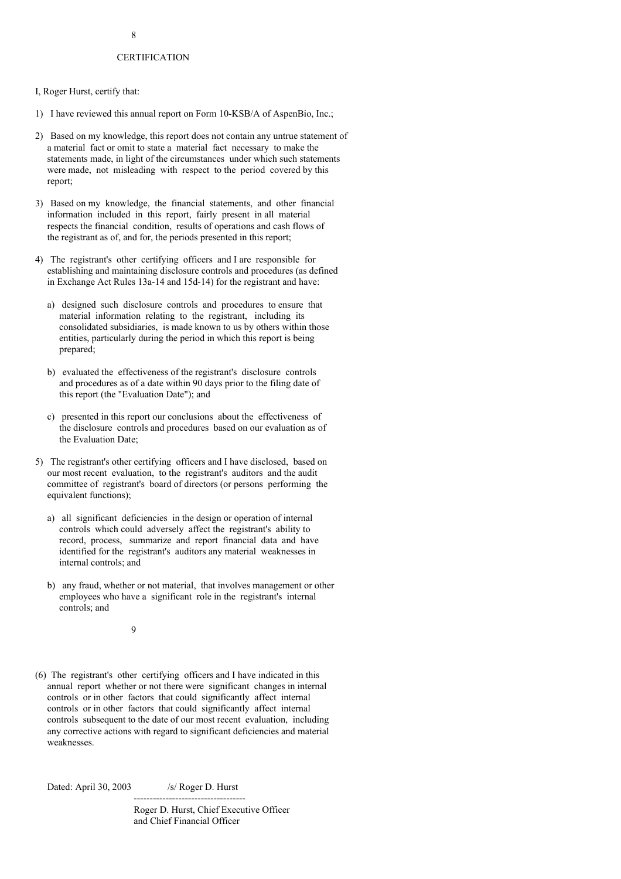# **CERTIFICATION**

I, Roger Hurst, certify that:

- 1) I have reviewed this annual report on Form 10-KSB/A of AspenBio, Inc.;
- 2) Based on my knowledge, this report does not contain any untrue statement of a material fact or omit to state a material fact necessary to make the statements made, in light of the circumstances under which such statements were made, not misleading with respect to the period covered by this report;
- 3) Based on my knowledge, the financial statements, and other financial information included in this report, fairly present in all material respects the financial condition, results of operations and cash flows of the registrant as of, and for, the periods presented in this report;
- 4) The registrant's other certifying officers and I are responsible for establishing and maintaining disclosure controls and procedures (as defined in Exchange Act Rules 13a-14 and 15d-14) for the registrant and have:
	- a) designed such disclosure controls and procedures to ensure that material information relating to the registrant, including its consolidated subsidiaries, is made known to us by others within those entities, particularly during the period in which this report is being prepared;
	- b) evaluated the effectiveness of the registrant's disclosure controls and procedures as of a date within 90 days prior to the filing date of this report (the "Evaluation Date"); and
	- c) presented in this report our conclusions about the effectiveness of the disclosure controls and procedures based on our evaluation as of the Evaluation Date;
- 5) The registrant's other certifying officers and I have disclosed, based on our most recent evaluation, to the registrant's auditors and the audit committee of registrant's board of directors (or persons performing the equivalent functions);
	- a) all significant deficiencies in the design or operation of internal controls which could adversely affect the registrant's ability to record, process, summarize and report financial data and have identified for the registrant's auditors any material weaknesses in internal controls; and
	- b) any fraud, whether or not material, that involves management or other employees who have a significant role in the registrant's internal controls; and

9

(6) The registrant's other certifying officers and I have indicated in this annual report whether or not there were significant changes in internal controls or in other factors that could significantly affect internal controls or in other factors that could significantly affect internal controls subsequent to the date of our most recent evaluation, including any corrective actions with regard to significant deficiencies and material weaknesses.

Dated: April 30, 2003 /s/ Roger D. Hurst -----------------------------------

Roger D. Hurst, Chief Executive Officer and Chief Financial Officer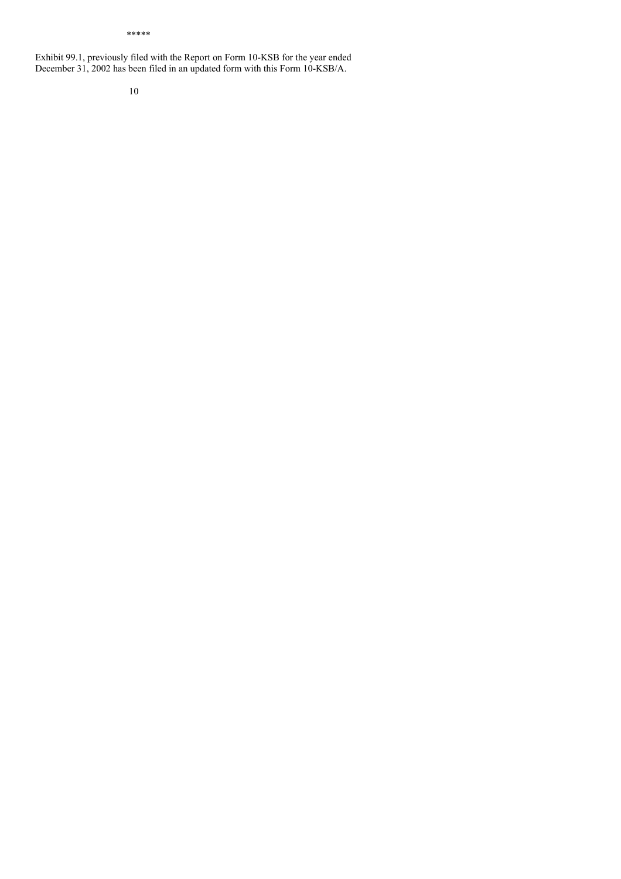\*\*\*\*\*

Exhibit 99.1, previously filed with the Report on Form 10-KSB for the year ended December 31, 2002 has been filed in an updated form with this Form 10-KSB/A.